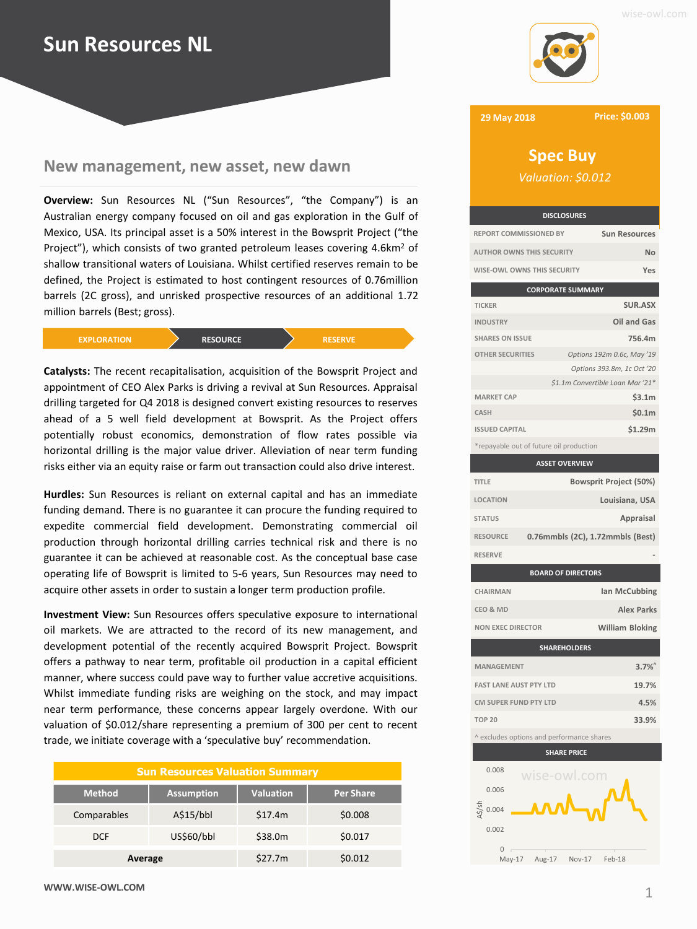## **Sun Resources NL**

## **New management, new asset, new dawn New management, new asset, new dawn**

**Overview:** Sun Resources NL ("Sun Resources", "the Company") is an Australian energy company focused on oil and gas exploration in the Gulf of Mexico, USA. Its principal asset is a 50% interest in the Bowsprit Project ("the Project"), which consists of two granted petroleum leases covering 4.6km<sup>2</sup> of shallow transitional waters of Louisiana. Whilst certified reserves remain to be defined, the Project is estimated to host contingent resources of 0.76million barrels (2C gross), and unrisked prospective resources of an additional 1.72 million barrels (Best; gross).



**Catalysts:** The recent recapitalisation, acquisition of the Bowsprit Project and appointment of CEO Alex Parks is driving a revival at Sun Resources. Appraisal drilling targeted for Q4 2018 is designed convert existing resources to reserves ahead of a 5 well field development at Bowsprit. As the Project offers potentially robust economics, demonstration of flow rates possible via horizontal drilling is the major value driver. Alleviation of near term funding risks either via an equity raise or farm out transaction could also drive interest.

**Hurdles:** Sun Resources is reliant on external capital and has an immediate funding demand. There is no guarantee it can procure the funding required to expedite commercial field development. Demonstrating commercial oil production through horizontal drilling carries technical risk and there is no guarantee it can be achieved at reasonable cost. As the conceptual base case operating life of Bowsprit is limited to 5-6 years, Sun Resources may need to acquire other assets in order to sustain a longer term production profile.

**Investment View:** Sun Resources offers speculative exposure to international oil markets. We are attracted to the record of its new management, and development potential of the recently acquired Bowsprit Project. Bowsprit offers a pathway to near term, profitable oil production in a capital efficient manner, where success could pave way to further value accretive acquisitions. Whilst immediate funding risks are weighing on the stock, and may impact near term performance, these concerns appear largely overdone. With our valuation of \$0.012/share representing a premium of 300 per cent to recent trade, we initiate coverage with a 'speculative buy' recommendation.

| <b>Sun Resources Valuation Summary</b> |                   |                  |                  |  |  |  |  |
|----------------------------------------|-------------------|------------------|------------------|--|--|--|--|
| <b>Method</b>                          | <b>Assumption</b> | <b>Valuation</b> | <b>Per Share</b> |  |  |  |  |
| Comparables                            | A\$15/bbl         | \$17.4m          | \$0.008          |  |  |  |  |
| <b>DCF</b>                             | US\$60/bbl        | \$38.0m          | \$0.017          |  |  |  |  |
| Average                                |                   | \$27.7m          | \$0.012          |  |  |  |  |





**29 May 2018**

**Price: \$0.003**

# *Valuation: \$0.012*

**DISCLOSURES REPORT COMMISSIONED BY Sun Resources AUTHOR OWNS THIS SECURITY No WISE-OWL OWNS THIS SECURITY Yes**

|                                         | <b>CORPORATE SUMMARY</b>         |  |  |  |  |  |  |
|-----------------------------------------|----------------------------------|--|--|--|--|--|--|
| <b>TICKER</b>                           | <b>SUR.ASX</b>                   |  |  |  |  |  |  |
| <b>INDUSTRY</b>                         | Oil and Gas                      |  |  |  |  |  |  |
| <b>SHARES ON ISSUE</b>                  | 756.4m                           |  |  |  |  |  |  |
| <b>OTHER SECURITIES</b>                 | Options 192m 0.6c, May '19       |  |  |  |  |  |  |
|                                         | Options 393.8m, 1c Oct '20       |  |  |  |  |  |  |
|                                         | \$1.1m Convertible Loan Mar '21* |  |  |  |  |  |  |
| <b>MARKET CAP</b>                       | \$3.1m                           |  |  |  |  |  |  |
| <b>CASH</b>                             | \$0.1m                           |  |  |  |  |  |  |
| <b>ISSUED CAPITAL</b>                   | \$1.29m                          |  |  |  |  |  |  |
| *repayable out of future oil production |                                  |  |  |  |  |  |  |

| <b>ASSET OVERVIEW</b>                              |  |  |  |  |  |  |
|----------------------------------------------------|--|--|--|--|--|--|
| <b>Bowsprit Project (50%)</b>                      |  |  |  |  |  |  |
| Louisiana, USA                                     |  |  |  |  |  |  |
| Appraisal                                          |  |  |  |  |  |  |
| 0.76mmbls (2C), 1.72mmbls (Best)                   |  |  |  |  |  |  |
|                                                    |  |  |  |  |  |  |
| <b>BOARD OF DIRECTORS</b>                          |  |  |  |  |  |  |
| Ian McCubbing                                      |  |  |  |  |  |  |
|                                                    |  |  |  |  |  |  |
| <b>Alex Parks</b>                                  |  |  |  |  |  |  |
| <b>William Bloking</b><br><b>NON EXEC DIRECTOR</b> |  |  |  |  |  |  |
| <b>SHAREHOLDERS</b>                                |  |  |  |  |  |  |
| $3.7\%$<br><b>MANAGEMENT</b>                       |  |  |  |  |  |  |
| 19.7%<br><b>FAST LANE AUST PTY LTD</b>             |  |  |  |  |  |  |
|                                                    |  |  |  |  |  |  |



**TOP 20 33.9%**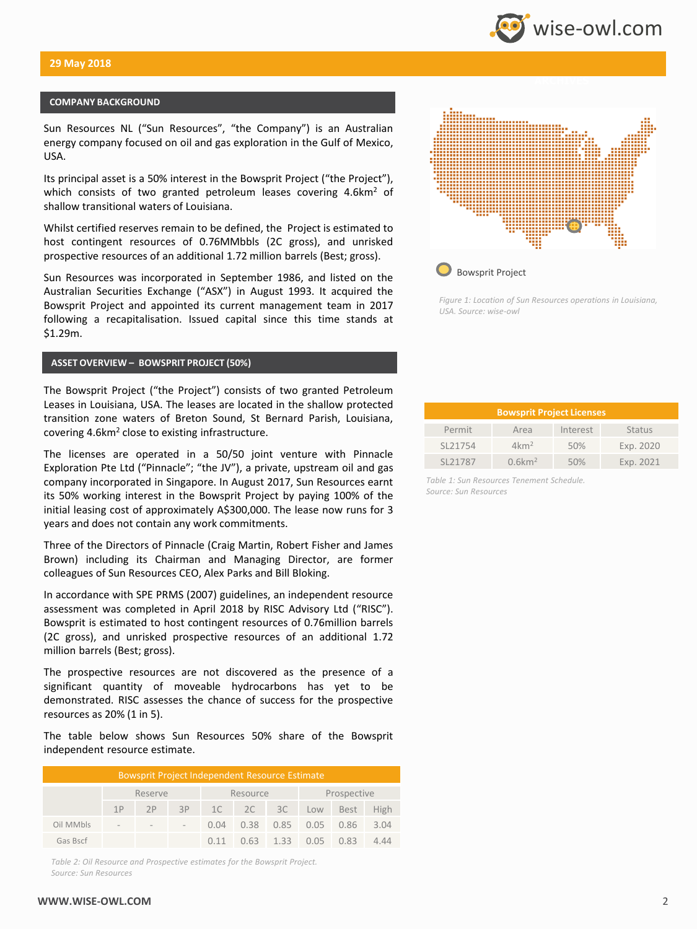### **COMPANY BACKGROUND**

Sun Resources NL ("Sun Resources", "the Company") is an Australian energy company focused on oil and gas exploration in the Gulf of Mexico, USA.

Its principal asset is a 50% interest in the Bowsprit Project ("the Project"), which consists of two granted petroleum leases covering 4.6km<sup>2</sup> of shallow transitional waters of Louisiana.

Whilst certified reserves remain to be defined, the Project is estimated to host contingent resources of 0.76MMbbls (2C gross), and unrisked prospective resources of an additional 1.72 million barrels (Best; gross).

Sun Resources was incorporated in September 1986, and listed on the Australian Securities Exchange ("ASX") in August 1993. It acquired the Bowsprit Project and appointed its current management team in 2017 following a recapitalisation. Issued capital since this time stands at \$1.29m.

### **ASSET OVERVIEW – BOWSPRIT PROJECT (50%)**

The Bowsprit Project ("the Project") consists of two granted Petroleum Leases in Louisiana, USA. The leases are located in the shallow protected transition zone waters of Breton Sound, St Bernard Parish, Louisiana, covering 4.6km<sup>2</sup> close to existing infrastructure.

The licenses are operated in a 50/50 joint venture with Pinnacle Exploration Pte Ltd ("Pinnacle"; "the JV"), a private, upstream oil and gas company incorporated in Singapore. In August 2017, Sun Resources earnt its 50% working interest in the Bowsprit Project by paying 100% of the initial leasing cost of approximately A\$300,000. The lease now runs for 3 years and does not contain any work commitments.

Three of the Directors of Pinnacle (Craig Martin, Robert Fisher and James Brown) including its Chairman and Managing Director, are former colleagues of Sun Resources CEO, Alex Parks and Bill Bloking.

In accordance with SPE PRMS (2007) guidelines, an independent resource assessment was completed in April 2018 by RISC Advisory Ltd ("RISC"). Bowsprit is estimated to host contingent resources of 0.76million barrels (2C gross), and unrisked prospective resources of an additional 1.72 million barrels (Best; gross).

The prospective resources are not discovered as the presence of a significant quantity of moveable hydrocarbons has yet to be demonstrated. RISC assesses the chance of success for the prospective resources as 20% (1 in 5).

The table below shows Sun Resources 50% share of the Bowsprit independent resource estimate.

| <b>Bowsprit Project Independent Resource Estimate</b> |    |                                     |       |          |  |  |             |                                    |      |
|-------------------------------------------------------|----|-------------------------------------|-------|----------|--|--|-------------|------------------------------------|------|
|                                                       |    | Reserve                             |       | Resource |  |  | Prospective |                                    |      |
|                                                       | 1P | $\triangle$ 2P $\triangleright$     | $-3P$ |          |  |  |             | 1C 2C 3C Low Best                  | High |
| Oil MMbls                                             |    | the contract of the contract of the |       |          |  |  |             | 0.04 0.38 0.85 0.05 0.86           | 3.04 |
| Gas Bscf                                              |    |                                     |       |          |  |  |             | $0.11$ $0.63$ $1.33$ $0.05$ $0.83$ | 4.44 |

*Table 2: Oil Resource and Prospective estimates for the Bowsprit Project. Source: Sun Resources*



*Figure 1: Location of Sun Resources operations in Louisiana, USA. Source: wise-owl*

| <b>Bowsprit Project Licenses</b> |                       |          |               |  |  |  |
|----------------------------------|-----------------------|----------|---------------|--|--|--|
| Permit                           | Area                  | Interest | <b>Status</b> |  |  |  |
| SL21754                          | $4 \mathrm{km}^2$     | 50%      | Exp. 2020     |  |  |  |
| SL21787                          | $0.6$ km <sup>2</sup> | 50%      | Exp. 2021     |  |  |  |

*Table 1: Sun Resources Tenement Schedule. Source: Sun Resources*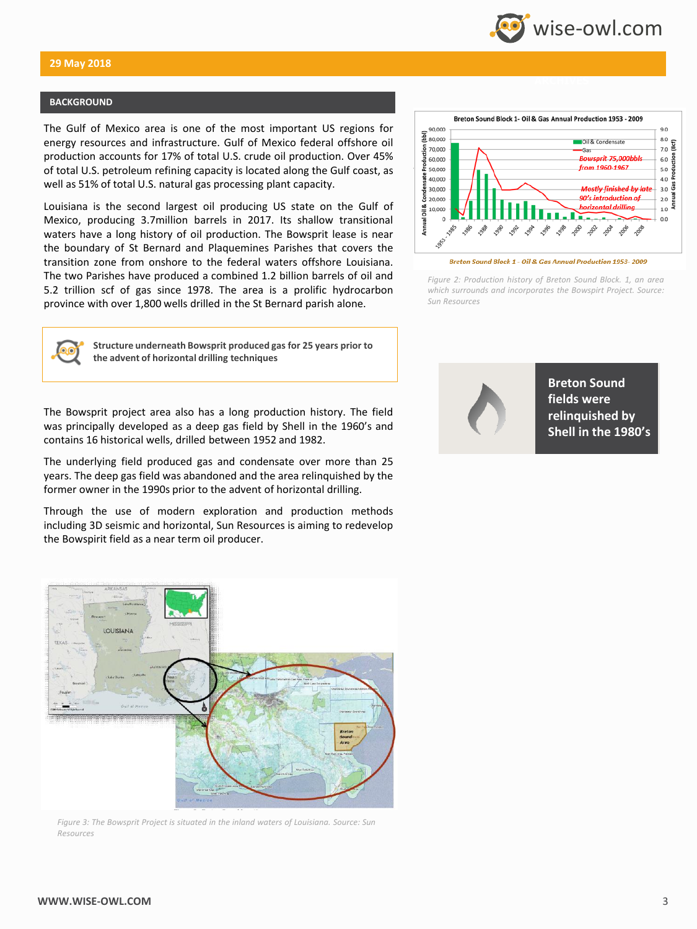

### **BACKGROUND**

The Gulf of Mexico area is one of the most important US regions for energy resources and infrastructure. Gulf of Mexico federal offshore oil production accounts for 17% of total U.S. crude oil production. Over 45% of total U.S. petroleum refining capacity is located along the Gulf coast, as well as 51% of total U.S. natural gas processing plant capacity.

Louisiana is the second largest oil producing US state on the Gulf of Mexico, producing 3.7million barrels in 2017. Its shallow transitional waters have a long history of oil production. The Bowsprit lease is near the boundary of St Bernard and Plaquemines Parishes that covers the transition zone from onshore to the federal waters offshore Louisiana. The two Parishes have produced a combined 1.2 billion barrels of oil and 5.2 trillion scf of gas since 1978. The area is a prolific hydrocarbon province with over 1,800 wells drilled in the St Bernard parish alone.



*Figure 2: Production history of Breton Sound Block. 1, an area which surrounds and incorporates the Bowspirt Project. Source: Sun Resources*



**Structure underneath Bowsprit produced gas for 25 years prior to the advent of horizontal drilling techniques**

The Bowsprit project area also has a long production history. The field was principally developed as a deep gas field by Shell in the 1960's and contains 16 historical wells, drilled between 1952 and 1982.

The underlying field produced gas and condensate over more than 25 years. The deep gas field was abandoned and the area relinquished by the former owner in the 1990s prior to the advent of horizontal drilling.

Through the use of modern exploration and production methods including 3D seismic and horizontal, Sun Resources is aiming to redevelop the Bowspirit field as a near term oil producer.



*Figure 3: The Bowsprit Project is situated in the inland waters of Louisiana. Source: Sun Resources*



**Breton Sound fields were relinquished by Shell in the 1980's**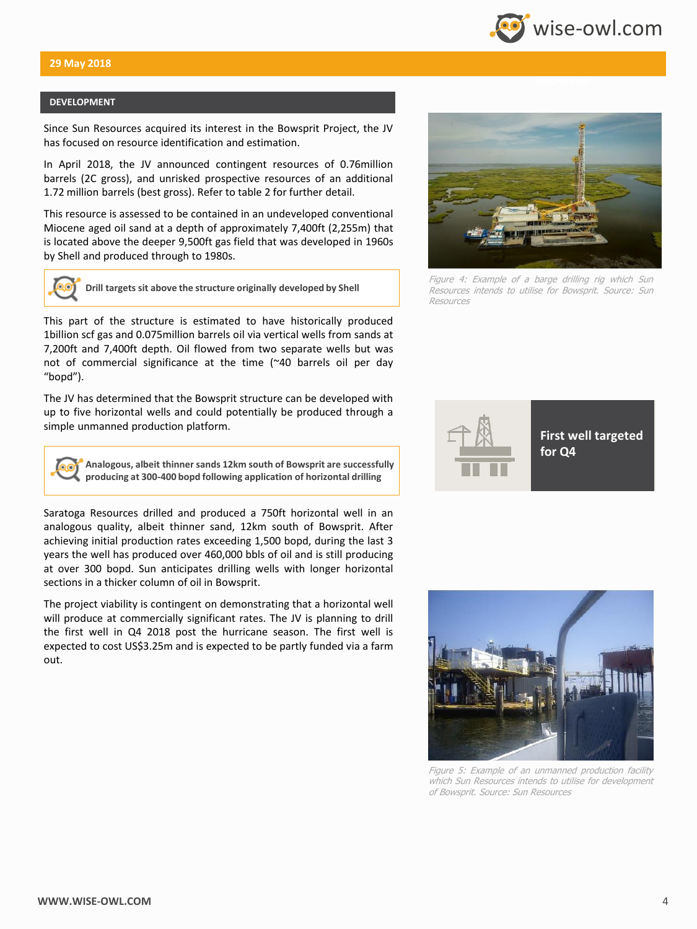

### **DEVELOPMENT**

Since Sun Resources acquired its interest in the Bowsprit Project, the JV has focused on resource identification and estimation.

In April 2018, the JV announced contingent resources of 0.76million barrels (2C gross), and unrisked prospective resources of an additional 1.72 million barrels (best gross). Refer to table 2 for further detail.

This resource is assessed to be contained in an undeveloped conventional Miocene aged oil sand at a depth of approximately 7,400ft (2,255m) that is located above the deeper 9,500ft gas field that was developed in 1960s by Shell and produced through to 1980s.



**Drill targets sit above the structure originally developed by Shell**

This part of the structure is estimated to have historically produced 1billion scf gas and 0.075million barrels oil via vertical wells from sands at 7,200ft and 7,400ft depth. Oil flowed from two separate wells but was not of commercial significance at the time (~40 barrels oil per day "bopd").

The JV has determined that the Bowsprit structure can be developed with up to five horizontal wells and could potentially be produced through a simple unmanned production platform.



**Analogous, albeit thinner sands 12km south of Bowsprit are successfully producing at 300-400 bopd following application of horizontal drilling**

Saratoga Resources drilled and produced a 750ft horizontal well in an analogous quality, albeit thinner sand, 12km south of Bowsprit. After achieving initial production rates exceeding 1,500 bopd, during the last 3 years the well has produced over 460,000 bbls of oil and is still producing at over 300 bopd. Sun anticipates drilling wells with longer horizontal sections in a thicker column of oil in Bowsprit.

The project viability is contingent on demonstrating that a horizontal well will produce at commercially significant rates. The JV is planning to drill the first well in Q4 2018 post the hurricane season. The first well is expected to cost US\$3.25m and is expected to be partly funded via a farm out.



Figure 4: Example of <sup>a</sup> barge drilling rig which Sun Resources intends to utilise for Bowsprit. Source: Sun Resources





Figure 5: Example of an unmanned production facility which Sun Resources intends to utilise for development of Bowsprit. Source: Sun Resources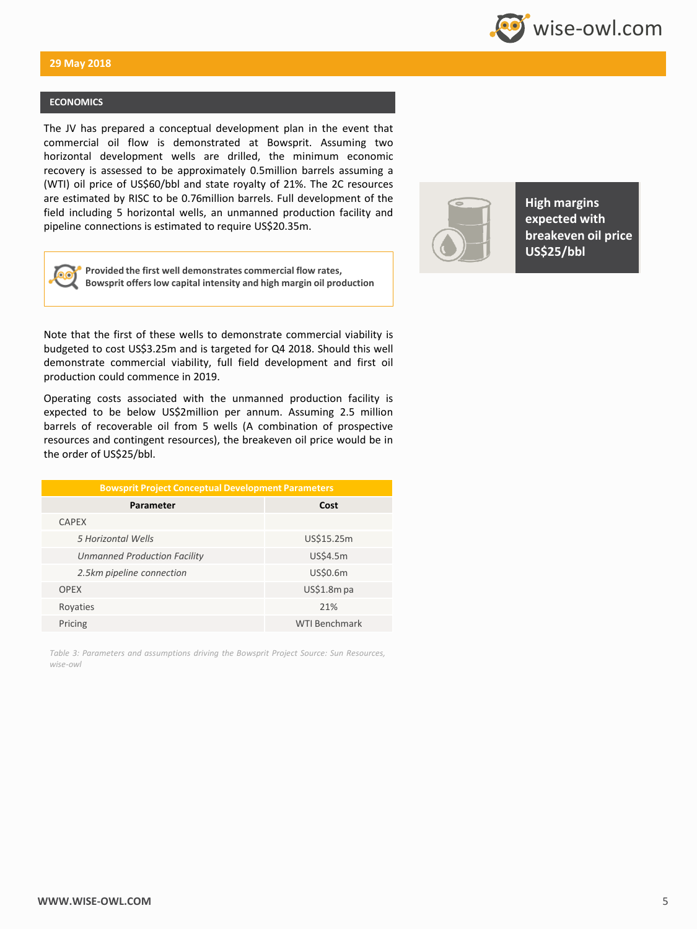

### **ECONOMICS**

The JV has prepared a conceptual development plan in the event that commercial oil flow is demonstrated at Bowsprit. Assuming two horizontal development wells are drilled, the minimum economic recovery is assessed to be approximately 0.5million barrels assuming a (WTI) oil price of US\$60/bbl and state royalty of 21%. The 2C resources are estimated by RISC to be 0.76million barrels. Full development of the field including 5 horizontal wells, an unmanned production facility and pipeline connections is estimated to require US\$20.35m.



**Provided the first well demonstrates commercial flow rates, Bowsprit offers low capital intensity and high margin oil production** 

Note that the first of these wells to demonstrate commercial viability is budgeted to cost US\$3.25m and is targeted for Q4 2018. Should this well demonstrate commercial viability, full field development and first oil production could commence in 2019.

Operating costs associated with the unmanned production facility is expected to be below US\$2million per annum. Assuming 2.5 million barrels of recoverable oil from 5 wells (A combination of prospective resources and contingent resources), the breakeven oil price would be in the order of US\$25/bbl.

| <b>Bowsprit Project Conceptual Development Parameters</b> |                      |  |  |  |  |  |  |  |
|-----------------------------------------------------------|----------------------|--|--|--|--|--|--|--|
| Parameter                                                 | Cost                 |  |  |  |  |  |  |  |
| <b>CAPEX</b>                                              |                      |  |  |  |  |  |  |  |
| 5 Horizontal Wells                                        | US\$15.25m           |  |  |  |  |  |  |  |
| <b>Unmanned Production Facility</b>                       | US\$4.5m             |  |  |  |  |  |  |  |
| 2.5km pipeline connection                                 | US\$0.6m             |  |  |  |  |  |  |  |
| <b>OPEX</b>                                               | $US$1.8m$ pa         |  |  |  |  |  |  |  |
| Royaties                                                  | 21%                  |  |  |  |  |  |  |  |
| Pricing                                                   | <b>WTI Benchmark</b> |  |  |  |  |  |  |  |

*Table 3: Parameters and assumptions driving the Bowsprit Project Source: Sun Resources, wise-owl*



**High margins expected with breakeven oil price US\$25/bbl**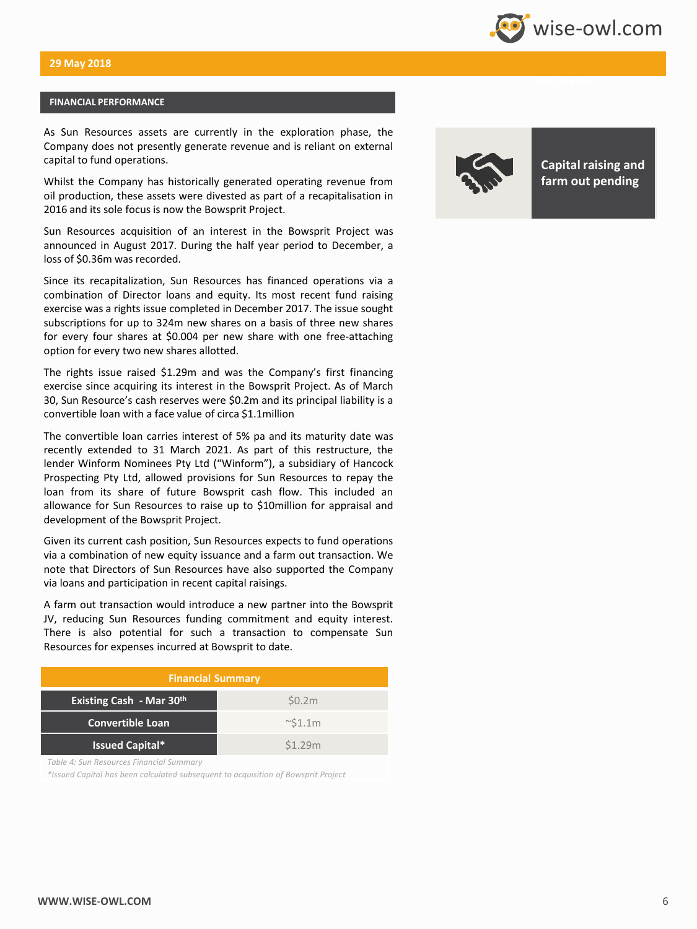

### **FINANCIAL PERFORMANCE**

As Sun Resources assets are currently in the exploration phase, the Company does not presently generate revenue and is reliant on external capital to fund operations.

Whilst the Company has historically generated operating revenue from oil production, these assets were divested as part of a recapitalisation in 2016 and its sole focus is now the Bowsprit Project.

Sun Resources acquisition of an interest in the Bowsprit Project was announced in August 2017. During the half year period to December, a loss of \$0.36m was recorded.

Since its recapitalization, Sun Resources has financed operations via a combination of Director loans and equity. Its most recent fund raising exercise was a rights issue completed in December 2017. The issue sought subscriptions for up to 324m new shares on a basis of three new shares for every four shares at \$0.004 per new share with one free-attaching option for every two new shares allotted.

The rights issue raised \$1.29m and was the Company's first financing exercise since acquiring its interest in the Bowsprit Project. As of March 30, Sun Resource's cash reserves were \$0.2m and its principal liability is a convertible loan with a face value of circa \$1.1million

The convertible loan carries interest of 5% pa and its maturity date was recently extended to 31 March 2021. As part of this restructure, the lender Winform Nominees Pty Ltd ("Winform"), a subsidiary of Hancock Prospecting Pty Ltd, allowed provisions for Sun Resources to repay the loan from its share of future Bowsprit cash flow. This included an allowance for Sun Resources to raise up to \$10million for appraisal and development of the Bowsprit Project.

Given its current cash position, Sun Resources expects to fund operations via a combination of new equity issuance and a farm out transaction. We note that Directors of Sun Resources have also supported the Company via loans and participation in recent capital raisings.

A farm out transaction would introduce a new partner into the Bowsprit JV, reducing Sun Resources funding commitment and equity interest. There is also potential for such a transaction to compensate Sun Resources for expenses incurred at Bowsprit to date.

| <b>Financial Summary</b>        |               |  |  |  |  |  |  |
|---------------------------------|---------------|--|--|--|--|--|--|
| <b>Existing Cash - Mar 30th</b> | \$0.2m        |  |  |  |  |  |  |
| Convertible Loan                | $\sim$ \$1.1m |  |  |  |  |  |  |
| <b>Issued Capital*</b>          | \$1.29m       |  |  |  |  |  |  |

*Table 4: Sun Resources Financial Summary*

*\*Issued Capital has been calculated subsequent to acquisition of Bowsprit Project*



**Capital raising and farm out pending**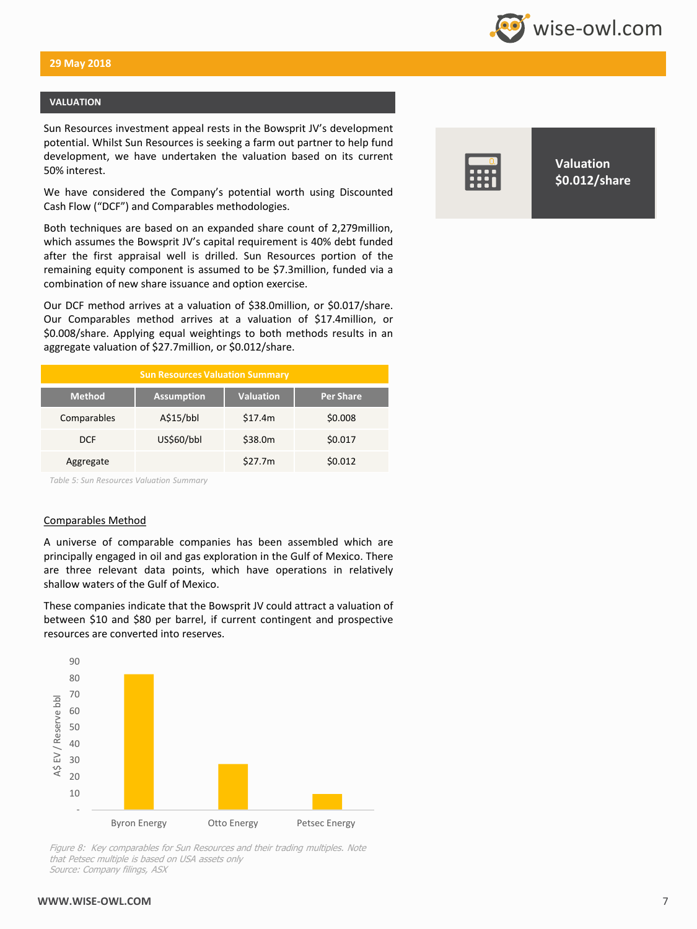

### **VALUATION**

Sun Resources investment appeal rests in the Bowsprit JV's development potential. Whilst Sun Resources is seeking a farm out partner to help fund development, we have undertaken the valuation based on its current 50% interest.

We have considered the Company's potential worth using Discounted Cash Flow ("DCF") and Comparables methodologies.

Both techniques are based on an expanded share count of 2,279million, which assumes the Bowsprit JV's capital requirement is 40% debt funded after the first appraisal well is drilled. Sun Resources portion of the remaining equity component is assumed to be \$7.3million, funded via a combination of new share issuance and option exercise.

Our DCF method arrives at a valuation of \$38.0million, or \$0.017/share. Our Comparables method arrives at a valuation of \$17.4million, or \$0.008/share. Applying equal weightings to both methods results in an aggregate valuation of \$27.7million, or \$0.012/share.

| <b>Sun Resources Valuation Summary</b> |                   |                  |                  |  |  |  |
|----------------------------------------|-------------------|------------------|------------------|--|--|--|
| <b>Method</b>                          | <b>Assumption</b> | <b>Valuation</b> | <b>Per Share</b> |  |  |  |
| Comparables                            | A\$15/bbl         | \$17.4m          | \$0.008          |  |  |  |
| <b>DCF</b>                             | US\$60/bbl        | \$38.0m          | \$0.017          |  |  |  |
| Aggregate                              |                   | \$27.7m          | \$0.012          |  |  |  |

*Table 5: Sun Resources Valuation Summary*

### Comparables Method

A universe of comparable companies has been assembled which are principally engaged in oil and gas exploration in the Gulf of Mexico. There are three relevant data points, which have operations in relatively shallow waters of the Gulf of Mexico.

These companies indicate that the Bowsprit JV could attract a valuation of between \$10 and \$80 per barrel, if current contingent and prospective resources are converted into reserves.



Figure 8: Key comparables for Sun Resources and their trading multiples. Note that Petsec multiple is based on USA assets only Source: Company filings, ASX



**Valuation \$0.012/share**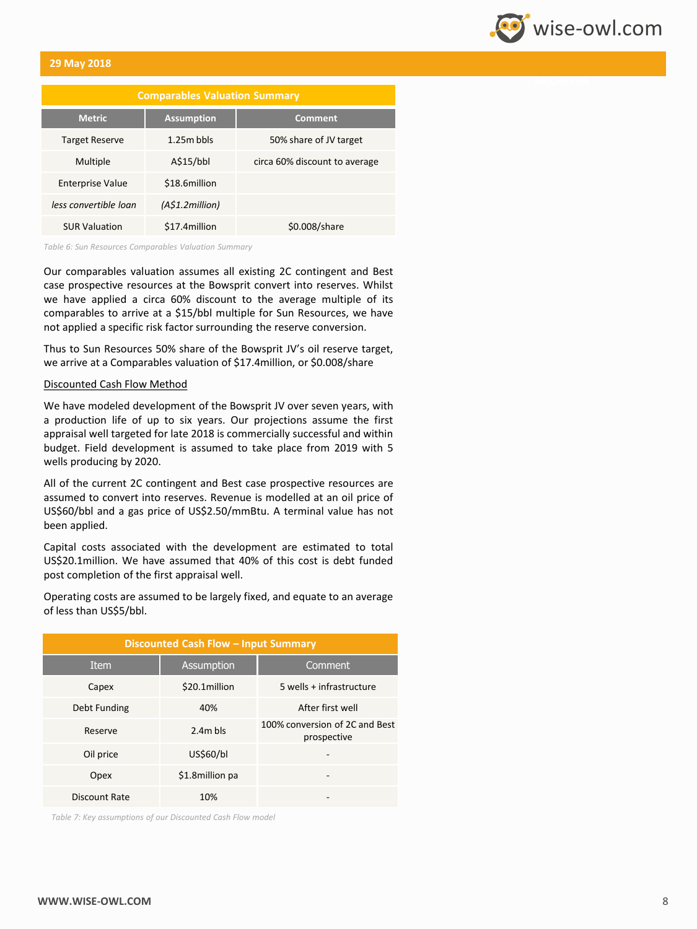

| <b>Comparables Valuation Summary</b> |                   |                               |  |  |  |  |  |
|--------------------------------------|-------------------|-------------------------------|--|--|--|--|--|
| <b>Metric</b>                        | <b>Assumption</b> | Comment                       |  |  |  |  |  |
| <b>Target Reserve</b>                | $1.25m$ bbls      | 50% share of JV target        |  |  |  |  |  |
| Multiple                             | A\$15/bbl         | circa 60% discount to average |  |  |  |  |  |
| <b>Enterprise Value</b>              | \$18.6million     |                               |  |  |  |  |  |
| less convertible loan                | (A\$1.2million)   |                               |  |  |  |  |  |
| <b>SUR Valuation</b>                 | \$17.4million     | \$0.008/share                 |  |  |  |  |  |

*Table 6: Sun Resources Comparables Valuation Summary*

Our comparables valuation assumes all existing 2C contingent and Best case prospective resources at the Bowsprit convert into reserves. Whilst we have applied a circa 60% discount to the average multiple of its comparables to arrive at a \$15/bbl multiple for Sun Resources, we have not applied a specific risk factor surrounding the reserve conversion.

Thus to Sun Resources 50% share of the Bowsprit JV's oil reserve target, we arrive at a Comparables valuation of \$17.4million, or \$0.008/share

### Discounted Cash Flow Method

We have modeled development of the Bowsprit JV over seven years, with a production life of up to six years. Our projections assume the first appraisal well targeted for late 2018 is commercially successful and within budget. Field development is assumed to take place from 2019 with 5 wells producing by 2020.

All of the current 2C contingent and Best case prospective resources are assumed to convert into reserves. Revenue is modelled at an oil price of US\$60/bbl and a gas price of US\$2.50/mmBtu. A terminal value has not been applied.

Capital costs associated with the development are estimated to total US\$20.1million. We have assumed that 40% of this cost is debt funded post completion of the first appraisal well.

Operating costs are assumed to be largely fixed, and equate to an average of less than US\$5/bbl.

| Discounted Cash Flow - Input Summary |                 |                                               |  |  |  |  |  |
|--------------------------------------|-----------------|-----------------------------------------------|--|--|--|--|--|
| <b>Item</b>                          | Assumption      | Comment                                       |  |  |  |  |  |
| Capex                                | \$20.1million   | 5 wells + infrastructure                      |  |  |  |  |  |
| Debt Funding                         | 40%             | After first well                              |  |  |  |  |  |
| Reserve                              | $2.4m$ bls      | 100% conversion of 2C and Best<br>prospective |  |  |  |  |  |
| Oil price                            | US\$60/bl       |                                               |  |  |  |  |  |
| Opex                                 | \$1.8million pa |                                               |  |  |  |  |  |
| Discount Rate                        | 10%             |                                               |  |  |  |  |  |

*Table 7: Key assumptions of our Discounted Cash Flow model*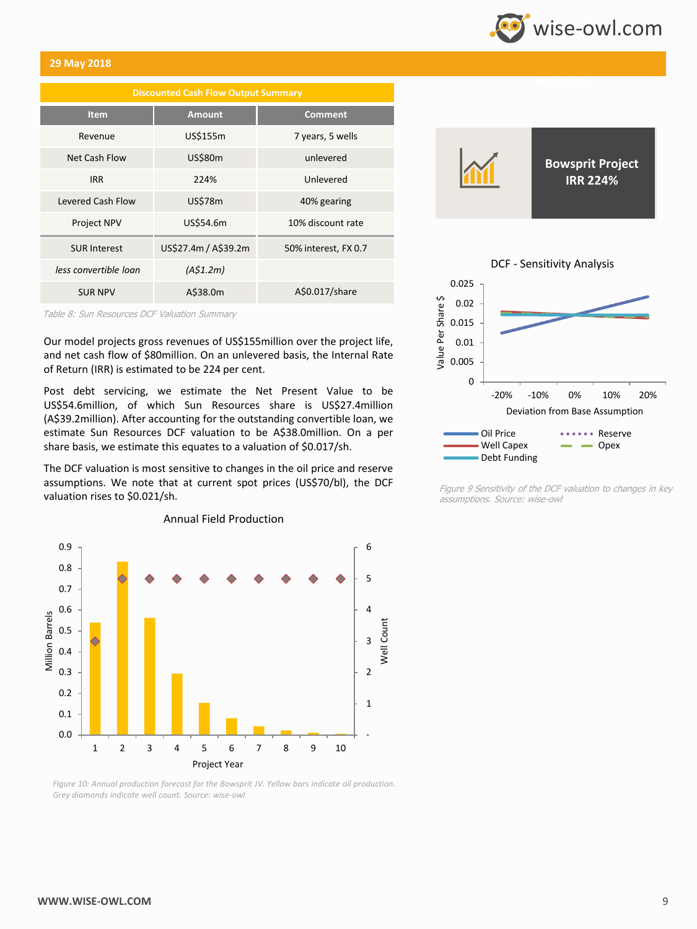# wise-owl.com

### **29 May 2018**

| <b>Discounted Cash Flow Output Summary</b> |                      |                      |  |  |  |  |  |  |
|--------------------------------------------|----------------------|----------------------|--|--|--|--|--|--|
| <b>Item</b>                                | <b>Amount</b>        | <b>Comment</b>       |  |  |  |  |  |  |
| Revenue                                    | US\$155m             | 7 years, 5 wells     |  |  |  |  |  |  |
| Net Cash Flow                              | US\$80m              | unlevered            |  |  |  |  |  |  |
| <b>IRR</b>                                 | 224%                 | Unlevered            |  |  |  |  |  |  |
| Levered Cash Flow                          | <b>US\$78m</b>       | 40% gearing          |  |  |  |  |  |  |
| <b>Project NPV</b>                         | US\$54.6m            | 10% discount rate    |  |  |  |  |  |  |
| <b>SUR Interest</b>                        | US\$27.4m / A\$39.2m | 50% interest, FX 0.7 |  |  |  |  |  |  |
| less convertible loan                      | (A\$1.2m)            |                      |  |  |  |  |  |  |
| <b>SUR NPV</b>                             | A\$38.0m             | A\$0.017/share       |  |  |  |  |  |  |

Table 8: Sun Resources DCF Valuation Summary

Our model projects gross revenues of US\$155million over the project life, and net cash flow of \$80million. On an unlevered basis, the Internal Rate of Return (IRR) is estimated to be 224 per cent.

Post debt servicing, we estimate the Net Present Value to be US\$54.6million, of which Sun Resources share is US\$27.4million (A\$39.2million). After accounting for the outstanding convertible loan, we estimate Sun Resources DCF valuation to be A\$38.0million. On a per share basis, we estimate this equates to a valuation of \$0.017/sh.

The DCF valuation is most sensitive to changes in the oil price and reserve assumptions. We note that at current spot prices (US\$70/bl), the DCF valuation rises to \$0.021/sh.



Annual Field Production





Figure 9 Sensitivity of the DCF valuation to changes in key assumptions. Source: wise-owl

*Figure 10: Annual production forecast for the Bowsprit JV. Yellow bars indicate oil production. Grey diamonds indicate well count. Source: wise-owl*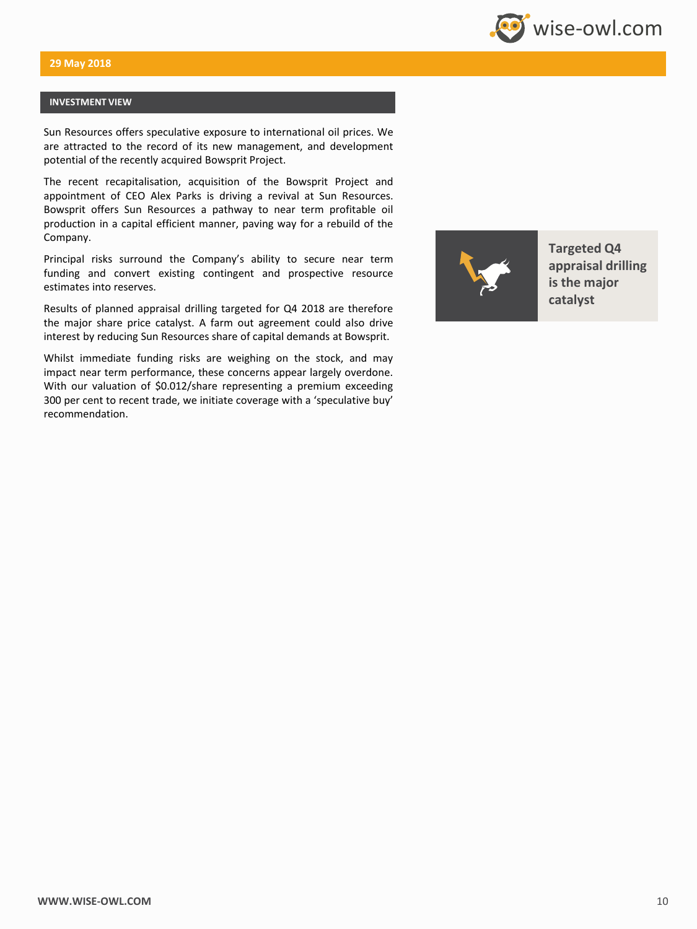

### **INVESTMENT VIEW**

Sun Resources offers speculative exposure to international oil prices. We are attracted to the record of its new management, and development potential of the recently acquired Bowsprit Project.

The recent recapitalisation, acquisition of the Bowsprit Project and appointment of CEO Alex Parks is driving a revival at Sun Resources. Bowsprit offers Sun Resources a pathway to near term profitable oil production in a capital efficient manner, paving way for a rebuild of the Company.

Principal risks surround the Company's ability to secure near term funding and convert existing contingent and prospective resource estimates into reserves.

Results of planned appraisal drilling targeted for Q4 2018 are therefore the major share price catalyst. A farm out agreement could also drive interest by reducing Sun Resources share of capital demands at Bowsprit.

Whilst immediate funding risks are weighing on the stock, and may impact near term performance, these concerns appear largely overdone. With our valuation of \$0.012/share representing a premium exceeding 300 per cent to recent trade, we initiate coverage with a 'speculative buy' recommendation.



**Targeted Q4 appraisal drilling is the major catalyst**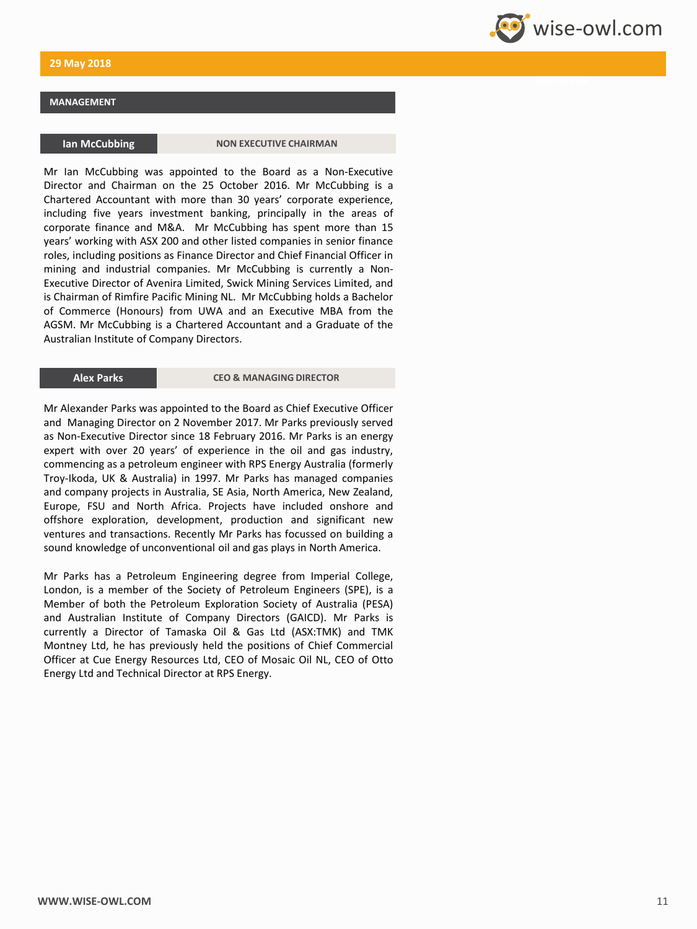### **MANAGEMENT**

**Ian McCubbing Company of CHAIRMAN** 

Mr Ian McCubbing was appointed to the Board as a Non-Executive Director and Chairman on the 25 October 2016. Mr McCubbing is a Chartered Accountant with more than 30 years' corporate experience, including five years investment banking, principally in the areas of corporate finance and M&A. Mr McCubbing has spent more than 15 years' working with ASX 200 and other listed companies in senior finance roles, including positions as Finance Director and Chief Financial Officer in mining and industrial companies. Mr McCubbing is currently a Non-Executive Director of Avenira Limited, Swick Mining Services Limited, and is Chairman of Rimfire Pacific Mining NL. Mr McCubbing holds a Bachelor of Commerce (Honours) from UWA and an Executive MBA from the AGSM. Mr McCubbing is a Chartered Accountant and a Graduate of the Australian Institute of Company Directors.

**Alex Parks CEO & MANAGING DIRECTOR**

Mr Alexander Parks was appointed to the Board as Chief Executive Officer and Managing Director on 2 November 2017. Mr Parks previously served as Non-Executive Director since 18 February 2016. Mr Parks is an energy expert with over 20 years' of experience in the oil and gas industry, commencing as a petroleum engineer with RPS Energy Australia (formerly Troy-Ikoda, UK & Australia) in 1997. Mr Parks has managed companies and company projects in Australia, SE Asia, North America, New Zealand, Europe, FSU and North Africa. Projects have included onshore and offshore exploration, development, production and significant new ventures and transactions. Recently Mr Parks has focussed on building a sound knowledge of unconventional oil and gas plays in North America.

Mr Parks has a Petroleum Engineering degree from Imperial College, London, is a member of the Society of Petroleum Engineers (SPE), is a Member of both the Petroleum Exploration Society of Australia (PESA) and Australian Institute of Company Directors (GAICD). Mr Parks is currently a Director of Tamaska Oil & Gas Ltd (ASX:TMK) and TMK Montney Ltd, he has previously held the positions of Chief Commercial Officer at Cue Energy Resources Ltd, CEO of Mosaic Oil NL, CEO of Otto Energy Ltd and Technical Director at RPS Energy.

**Wise-owl.com**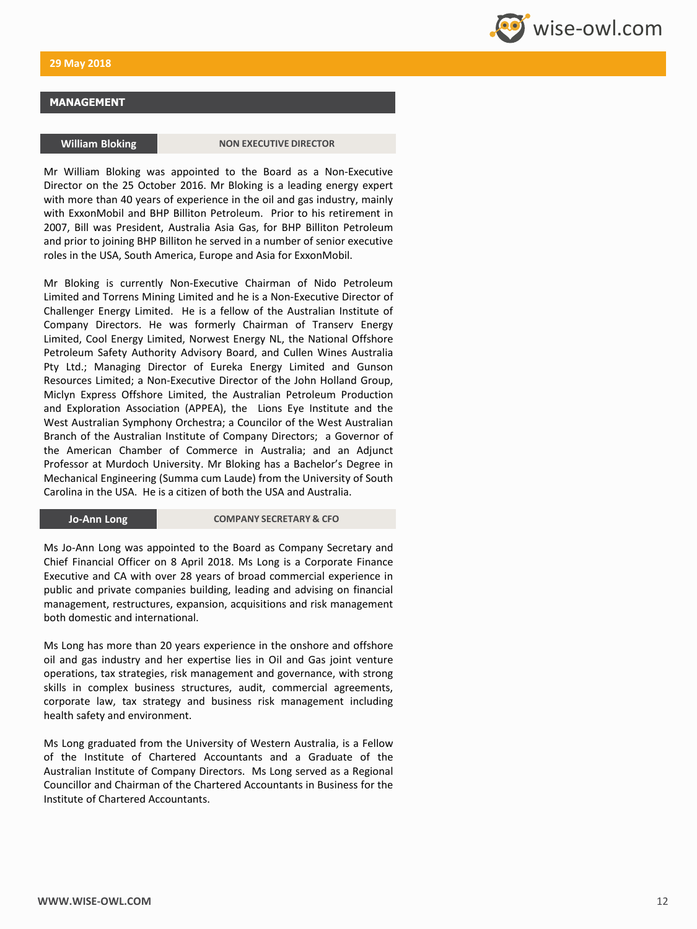### **MANAGEMENT**

**William Bloking CONDUCTS IN BILANCE IN THE WAS A POINT ON EXECUTIVE DIRECTOR** 

Mr William Bloking was appointed to the Board as a Non-Executive Director on the 25 October 2016. Mr Bloking is a leading energy expert with more than 40 years of experience in the oil and gas industry, mainly with ExxonMobil and BHP Billiton Petroleum. Prior to his retirement in 2007, Bill was President, Australia Asia Gas, for BHP Billiton Petroleum and prior to joining BHP Billiton he served in a number of senior executive roles in the USA, South America, Europe and Asia for ExxonMobil.

Mr Bloking is currently Non-Executive Chairman of Nido Petroleum Limited and Torrens Mining Limited and he is a Non-Executive Director of Challenger Energy Limited. He is a fellow of the Australian Institute of Company Directors. He was formerly Chairman of Transerv Energy Limited, Cool Energy Limited, Norwest Energy NL, the National Offshore Petroleum Safety Authority Advisory Board, and Cullen Wines Australia Pty Ltd.; Managing Director of Eureka Energy Limited and Gunson Resources Limited; a Non-Executive Director of the John Holland Group, Miclyn Express Offshore Limited, the Australian Petroleum Production and Exploration Association (APPEA), the Lions Eye Institute and the West Australian Symphony Orchestra; a Councilor of the West Australian Branch of the Australian Institute of Company Directors; a Governor of the American Chamber of Commerce in Australia; and an Adjunct Professor at Murdoch University. Mr Bloking has a Bachelor's Degree in Mechanical Engineering (Summa cum Laude) from the University of South Carolina in the USA. He is a citizen of both the USA and Australia.

**Jo-Ann Long <b>COMPANY SECRETARY & CFO** 

Ms Jo-Ann Long was appointed to the Board as Company Secretary and Chief Financial Officer on 8 April 2018. Ms Long is a Corporate Finance Executive and CA with over 28 years of broad commercial experience in public and private companies building, leading and advising on financial management, restructures, expansion, acquisitions and risk management both domestic and international.

Ms Long has more than 20 years experience in the onshore and offshore oil and gas industry and her expertise lies in Oil and Gas joint venture operations, tax strategies, risk management and governance, with strong skills in complex business structures, audit, commercial agreements, corporate law, tax strategy and business risk management including health safety and environment.

Ms Long graduated from the University of Western Australia, is a Fellow of the Institute of Chartered Accountants and a Graduate of the Australian Institute of Company Directors. Ms Long served as a Regional Councillor and Chairman of the Chartered Accountants in Business for the Institute of Chartered Accountants.

**Wise-owl.com**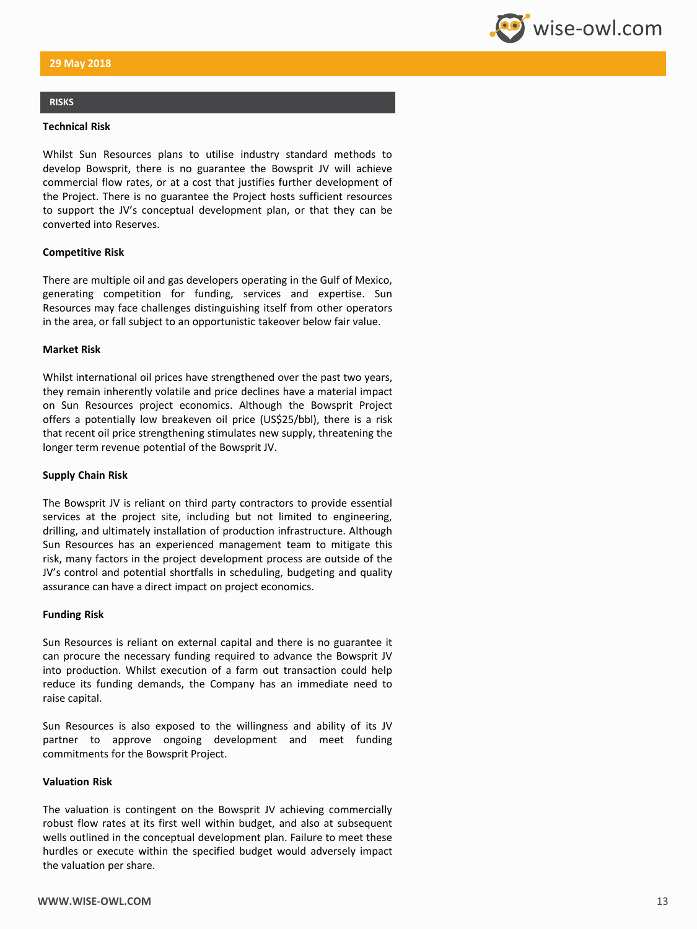### **RISKS**

### **Technical Risk**

Whilst Sun Resources plans to utilise industry standard methods to develop Bowsprit, there is no guarantee the Bowsprit JV will achieve commercial flow rates, or at a cost that justifies further development of the Project. There is no guarantee the Project hosts sufficient resources to support the JV's conceptual development plan, or that they can be converted into Reserves.

### **Competitive Risk**

There are multiple oil and gas developers operating in the Gulf of Mexico, generating competition for funding, services and expertise. Sun Resources may face challenges distinguishing itself from other operators in the area, or fall subject to an opportunistic takeover below fair value.

### **Market Risk**

Whilst international oil prices have strengthened over the past two years, they remain inherently volatile and price declines have a material impact on Sun Resources project economics. Although the Bowsprit Project offers a potentially low breakeven oil price (US\$25/bbl), there is a risk that recent oil price strengthening stimulates new supply, threatening the longer term revenue potential of the Bowsprit JV.

### **Supply Chain Risk**

The Bowsprit JV is reliant on third party contractors to provide essential services at the project site, including but not limited to engineering, drilling, and ultimately installation of production infrastructure. Although Sun Resources has an experienced management team to mitigate this risk, many factors in the project development process are outside of the JV's control and potential shortfalls in scheduling, budgeting and quality assurance can have a direct impact on project economics.

### **Funding Risk**

Sun Resources is reliant on external capital and there is no guarantee it can procure the necessary funding required to advance the Bowsprit JV into production. Whilst execution of a farm out transaction could help reduce its funding demands, the Company has an immediate need to raise capital.

Sun Resources is also exposed to the willingness and ability of its JV partner to approve ongoing development and meet funding commitments for the Bowsprit Project.

### **Valuation Risk**

The valuation is contingent on the Bowsprit JV achieving commercially robust flow rates at its first well within budget, and also at subsequent wells outlined in the conceptual development plan. Failure to meet these hurdles or execute within the specified budget would adversely impact the valuation per share.

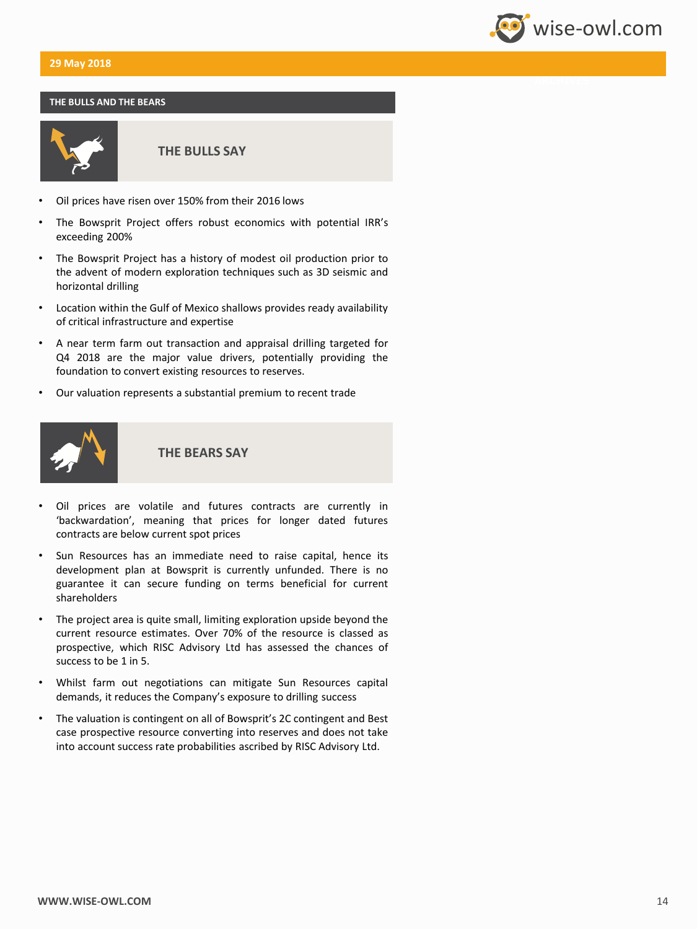### **THE BULLS AND THE BEARS**



**THE BULLS SAY**

- Oil prices have risen over 150% from their 2016 lows
- The Bowsprit Project offers robust economics with potential IRR's exceeding 200%
- The Bowsprit Project has a history of modest oil production prior to the advent of modern exploration techniques such as 3D seismic and horizontal drilling
- Location within the Gulf of Mexico shallows provides ready availability of critical infrastructure and expertise
- A near term farm out transaction and appraisal drilling targeted for Q4 2018 are the major value drivers, potentially providing the foundation to convert existing resources to reserves.
- Our valuation represents a substantial premium to recent trade



**THE BEARS SAY**

- Oil prices are volatile and futures contracts are currently in 'backwardation', meaning that prices for longer dated futures contracts are below current spot prices
- Sun Resources has an immediate need to raise capital, hence its development plan at Bowsprit is currently unfunded. There is no guarantee it can secure funding on terms beneficial for current shareholders
- The project area is quite small, limiting exploration upside beyond the current resource estimates. Over 70% of the resource is classed as prospective, which RISC Advisory Ltd has assessed the chances of success to be 1 in 5.
- Whilst farm out negotiations can mitigate Sun Resources capital demands, it reduces the Company's exposure to drilling success
- The valuation is contingent on all of Bowsprit's 2C contingent and Best case prospective resource converting into reserves and does not take into account success rate probabilities ascribed by RISC Advisory Ltd.

wise-owl.com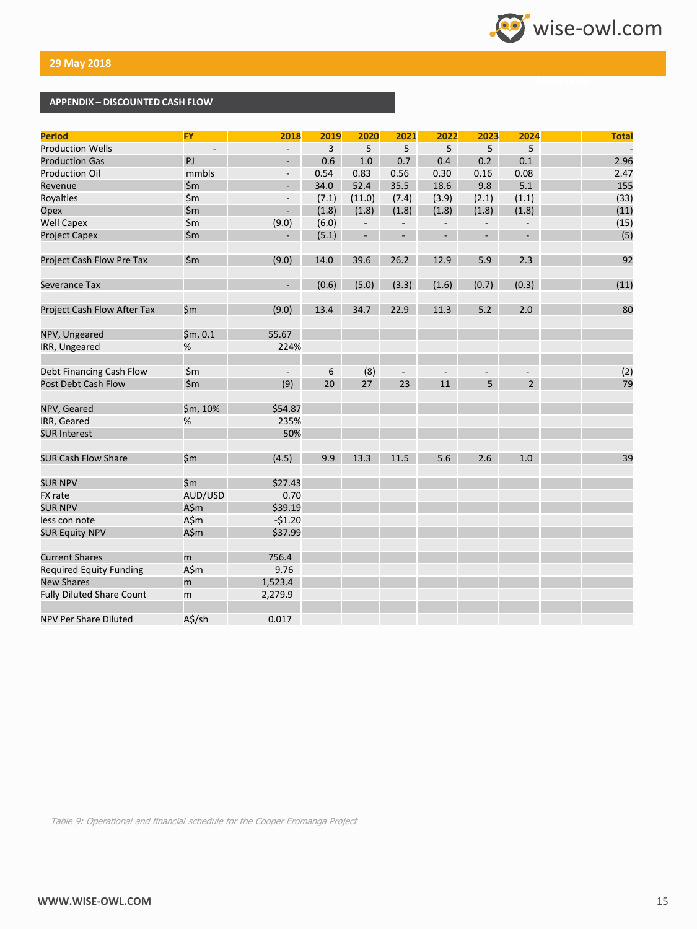

### **APPENDIX – DISCOUNTED CASH FLOW**

| <b>Period</b>                    | <b>FY</b>      | 2018                     | 2019           | 2020                     | 2021                     | 2022           | 2023                     | 2024                     | <b>Total</b> |
|----------------------------------|----------------|--------------------------|----------------|--------------------------|--------------------------|----------------|--------------------------|--------------------------|--------------|
| <b>Production Wells</b>          |                | $\overline{\phantom{0}}$ | $\overline{3}$ | 5                        | 5                        | 5              | 5                        | 5                        |              |
| <b>Production Gas</b>            | PJ             |                          | 0.6            | 1.0                      | 0.7                      | 0.4            | 0.2                      | 0.1                      | 2.96         |
| <b>Production Oil</b>            | mmbls          | $\overline{\phantom{a}}$ | 0.54           | 0.83                     | 0.56                     | 0.30           | 0.16                     | 0.08                     | 2.47         |
| Revenue                          | \$m\$          |                          | 34.0           | 52.4                     | 35.5                     | 18.6           | 9.8                      | 5.1                      | 155          |
| Royalties                        | \$m\$          | $\overline{\phantom{a}}$ | (7.1)          | (11.0)                   | (7.4)                    | (3.9)          | (2.1)                    | (1.1)                    | (33)         |
| Opex                             | \$m\$          | $\overline{\phantom{0}}$ | (1.8)          | (1.8)                    | (1.8)                    | (1.8)          | (1.8)                    | (1.8)                    | (11)         |
| <b>Well Capex</b>                | \$m\$          | (9.0)                    | (6.0)          | $\overline{\phantom{a}}$ | $\overline{\phantom{a}}$ | $\overline{a}$ | $\overline{\phantom{a}}$ | $\overline{\phantom{m}}$ | (15)         |
| <b>Project Capex</b>             | $\mathsf{S}$ m | $\overline{\phantom{a}}$ | (5.1)          | ÷,                       | $\overline{a}$           | $\overline{a}$ | $\overline{\phantom{a}}$ |                          | (5)          |
| <b>Project Cash Flow Pre Tax</b> | $\mathsf{5m}$  | (9.0)                    | 14.0           | 39.6                     | 26.2                     | 12.9           | 5.9                      | 2.3                      | 92           |
| Severance Tax                    |                | ÷,                       | (0.6)          | (5.0)                    | (3.3)                    | (1.6)          | (0.7)                    | (0.3)                    | (11)         |
| Project Cash Flow After Tax      | \$m            | (9.0)                    | 13.4           | 34.7                     | 22.9                     | 11.3           | 5.2                      | 2.0                      | 80           |
| NPV, Ungeared                    | \$m, 0.1       | 55.67                    |                |                          |                          |                |                          |                          |              |
| IRR, Ungeared                    | %              | 224%                     |                |                          |                          |                |                          |                          |              |
| Debt Financing Cash Flow         | $\mathsf{S}$ m | $\overline{\phantom{a}}$ | 6              | (8)                      |                          |                |                          |                          | (2)          |
| Post Debt Cash Flow              | $\sin$         | (9)                      | 20             | 27                       | 23                       | 11             | 5                        | $\overline{2}$           | 79           |
| NPV, Geared                      | \$m, 10%       | \$54.87                  |                |                          |                          |                |                          |                          |              |
| IRR, Geared                      | %              | 235%                     |                |                          |                          |                |                          |                          |              |
| <b>SUR Interest</b>              |                | 50%                      |                |                          |                          |                |                          |                          |              |
| <b>SUR Cash Flow Share</b>       | \$m            | (4.5)                    | 9.9            | 13.3                     | 11.5                     | 5.6            | 2.6                      | 1.0                      | 39           |
| <b>SUR NPV</b>                   | \$m            | \$27.43                  |                |                          |                          |                |                          |                          |              |
| <b>FX</b> rate                   | AUD/USD        | 0.70                     |                |                          |                          |                |                          |                          |              |
| <b>SUR NPV</b>                   | A\$m           | \$39.19                  |                |                          |                          |                |                          |                          |              |
| less con note                    | A\$m           | $-51.20$                 |                |                          |                          |                |                          |                          |              |
| <b>SUR Equity NPV</b>            | A\$m           | \$37.99                  |                |                          |                          |                |                          |                          |              |
| <b>Current Shares</b>            | m              | 756.4                    |                |                          |                          |                |                          |                          |              |
| <b>Required Equity Funding</b>   | A\$m           | 9.76                     |                |                          |                          |                |                          |                          |              |
| <b>New Shares</b>                | m              | 1,523.4                  |                |                          |                          |                |                          |                          |              |
| <b>Fully Diluted Share Count</b> | m              | 2,279.9                  |                |                          |                          |                |                          |                          |              |
| NPV Per Share Diluted            | A\$/sh         | 0.017                    |                |                          |                          |                |                          |                          |              |

Table 9: Operational and financial schedule for the Cooper Eromanga Project